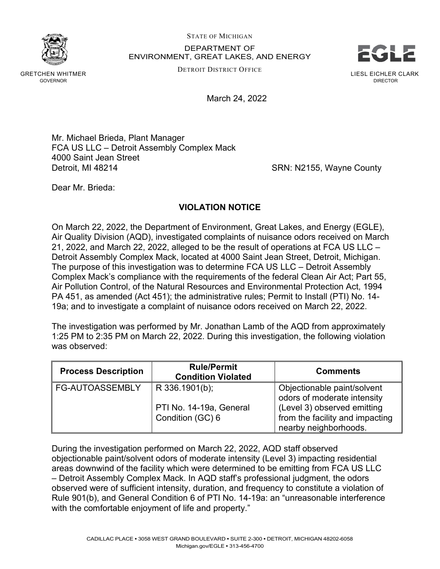STATE OF MICHIGAN

DEPARTMENT OF ENVIRONMENT, GREAT LAKES, AND ENERGY LIESL EICHLER CLARK DIRECTOR EGLE

DETROIT DISTRICT OFFICE

March 24, 2022

Mr. Michael Brieda, Plant Manager FCA US LLC – Detroit Assembly Complex Mack 4000 Saint Jean Street Detroit, MI 48214 **SRN: N2155, Wayne County** 

Dear Mr. Brieda:

## **VIOLATION NOTICE**

On March 22, 2022, the Department of Environment, Great Lakes, and Energy (EGLE), Air Quality Division (AQD), investigated complaints of nuisance odors received on March 21, 2022, and March 22, 2022, alleged to be the result of operations at FCA US LLC – Detroit Assembly Complex Mack, located at 4000 Saint Jean Street, Detroit, Michigan. The purpose of this investigation was to determine FCA US LLC – Detroit Assembly Complex Mack's compliance with the requirements of the federal Clean Air Act; Part 55, Air Pollution Control, of the Natural Resources and Environmental Protection Act, 1994 PA 451, as amended (Act 451); the administrative rules; Permit to Install (PTI) No. 14- 19a; and to investigate a complaint of nuisance odors received on March 22, 2022.

The investigation was performed by Mr. Jonathan Lamb of the AQD from approximately 1:25 PM to 2:35 PM on March 22, 2022. During this investigation, the following violation was observed:

| <b>Process Description</b> | <b>Rule/Permit</b><br><b>Condition Violated</b> | <b>Comments</b>                                                                         |
|----------------------------|-------------------------------------------------|-----------------------------------------------------------------------------------------|
| <b>FG-AUTOASSEMBLY</b>     | R 336.1901(b);                                  | Objectionable paint/solvent<br>odors of moderate intensity                              |
|                            | PTI No. 14-19a, General<br>Condition (GC) 6     | (Level 3) observed emitting<br>from the facility and impacting<br>nearby neighborhoods. |

During the investigation performed on March 22, 2022, AQD staff observed objectionable paint/solvent odors of moderate intensity (Level 3) impacting residential areas downwind of the facility which were determined to be emitting from FCA US LLC – Detroit Assembly Complex Mack. In AQD staff's professional judgment, the odors observed were of sufficient intensity, duration, and frequency to constitute a violation of Rule 901(b), and General Condition 6 of PTI No. 14-19a: an "unreasonable interference with the comfortable enjoyment of life and property."

GRETCHEN WHITMER GOVERNOR